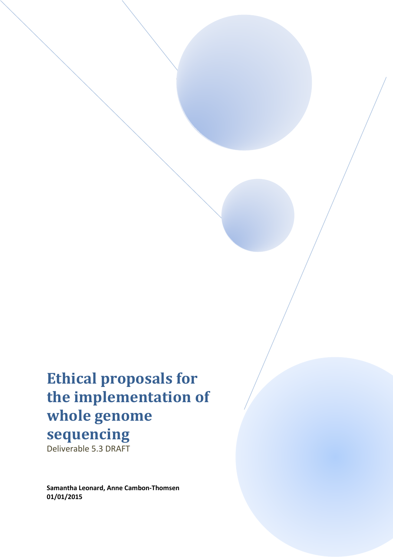# **Ethical proposals for the implementation of whole genome sequencing**

Deliverable 5.3 DRAFT

**Samantha Leonard, Anne Cambon-Thomsen 01/01/2015**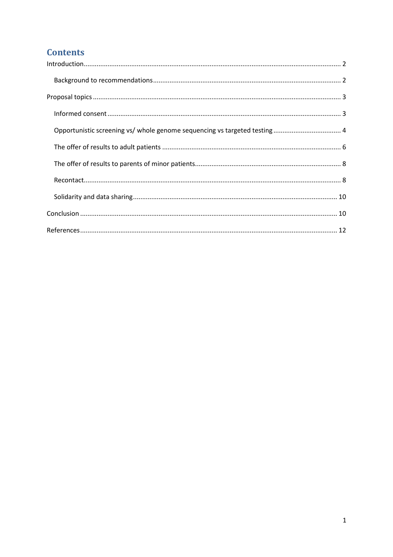## **Contents**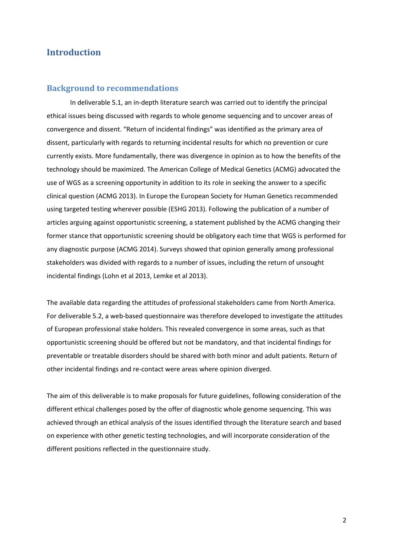## **Introduction**

#### **Background to recommendations**

 In deliverable 5.1, an in-depth literature search was carried out to identify the principal ethical issues being discussed with regards to whole genome sequencing and to uncover areas of convergence and dissent. "Return of incidental findings" was identified as the primary area of dissent, particularly with regards to returning incidental results for which no prevention or cure currently exists. More fundamentally, there was divergence in opinion as to how the benefits of the technology should be maximized. The American College of Medical Genetics (ACMG) advocated the use of WGS as a screening opportunity in addition to its role in seeking the answer to a specific clinical question (ACMG 2013). In Europe the European Society for Human Genetics recommended using targeted testing wherever possible (ESHG 2013). Following the publication of a number of articles arguing against opportunistic screening, a statement published by the ACMG changing their former stance that opportunistic screening should be obligatory each time that WGS is performed for any diagnostic purpose (ACMG 2014). Surveys showed that opinion generally among professional stakeholders was divided with regards to a number of issues, including the return of unsought incidental findings (Lohn et al 2013, Lemke et al 2013).

The available data regarding the attitudes of professional stakeholders came from North America. For deliverable 5.2, a web-based questionnaire was therefore developed to investigate the attitudes of European professional stake holders. This revealed convergence in some areas, such as that opportunistic screening should be offered but not be mandatory, and that incidental findings for preventable or treatable disorders should be shared with both minor and adult patients. Return of other incidental findings and re-contact were areas where opinion diverged.

The aim of this deliverable is to make proposals for future guidelines, following consideration of the different ethical challenges posed by the offer of diagnostic whole genome sequencing. This was achieved through an ethical analysis of the issues identified through the literature search and based on experience with other genetic testing technologies, and will incorporate consideration of the different positions reflected in the questionnaire study.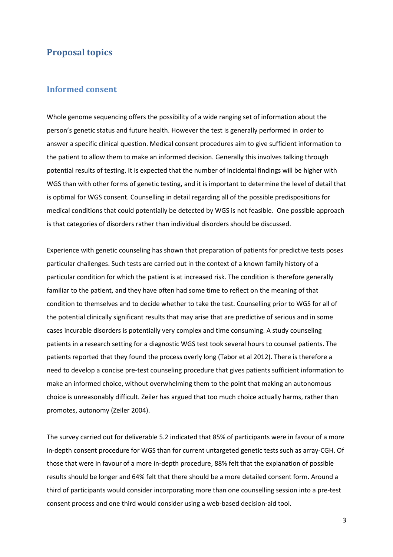## **Proposal topics**

#### **Informed consent**

Whole genome sequencing offers the possibility of a wide ranging set of information about the person's genetic status and future health. However the test is generally performed in order to answer a specific clinical question. Medical consent procedures aim to give sufficient information to the patient to allow them to make an informed decision. Generally this involves talking through potential results of testing. It is expected that the number of incidental findings will be higher with WGS than with other forms of genetic testing, and it is important to determine the level of detail that is optimal for WGS consent. Counselling in detail regarding all of the possible predispositions for medical conditions that could potentially be detected by WGS is not feasible. One possible approach is that categories of disorders rather than individual disorders should be discussed.

Experience with genetic counseling has shown that preparation of patients for predictive tests poses particular challenges. Such tests are carried out in the context of a known family history of a particular condition for which the patient is at increased risk. The condition is therefore generally familiar to the patient, and they have often had some time to reflect on the meaning of that condition to themselves and to decide whether to take the test. Counselling prior to WGS for all of the potential clinically significant results that may arise that are predictive of serious and in some cases incurable disorders is potentially very complex and time consuming. A study counseling patients in a research setting for a diagnostic WGS test took several hours to counsel patients. The patients reported that they found the process overly long (Tabor et al 2012). There is therefore a need to develop a concise pre-test counseling procedure that gives patients sufficient information to make an informed choice, without overwhelming them to the point that making an autonomous choice is unreasonably difficult. Zeiler has argued that too much choice actually harms, rather than promotes, autonomy (Zeiler 2004).

The survey carried out for deliverable 5.2 indicated that 85% of participants were in favour of a more in-depth consent procedure for WGS than for current untargeted genetic tests such as array-CGH. Of those that were in favour of a more in-depth procedure, 88% felt that the explanation of possible results should be longer and 64% felt that there should be a more detailed consent form. Around a third of participants would consider incorporating more than one counselling session into a pre-test consent process and one third would consider using a web-based decision-aid tool.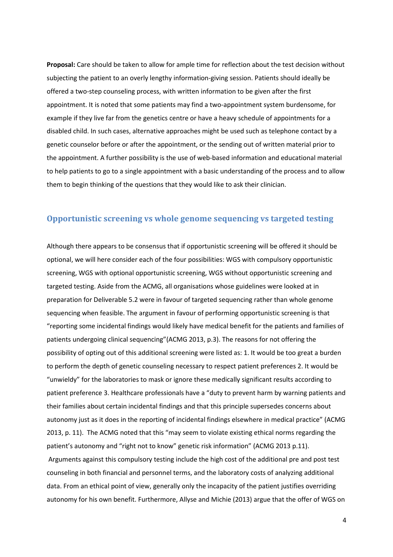**Proposal:** Care should be taken to allow for ample time for reflection about the test decision without subjecting the patient to an overly lengthy information-giving session. Patients should ideally be offered a two-step counseling process, with written information to be given after the first appointment. It is noted that some patients may find a two-appointment system burdensome, for example if they live far from the genetics centre or have a heavy schedule of appointments for a disabled child. In such cases, alternative approaches might be used such as telephone contact by a genetic counselor before or after the appointment, or the sending out of written material prior to the appointment. A further possibility is the use of web-based information and educational material to help patients to go to a single appointment with a basic understanding of the process and to allow them to begin thinking of the questions that they would like to ask their clinician.

## **Opportunistic screening vs whole genome sequencing vs targeted testing**

Although there appears to be consensus that if opportunistic screening will be offered it should be optional, we will here consider each of the four possibilities: WGS with compulsory opportunistic screening, WGS with optional opportunistic screening, WGS without opportunistic screening and targeted testing. Aside from the ACMG, all organisations whose guidelines were looked at in preparation for Deliverable 5.2 were in favour of targeted sequencing rather than whole genome sequencing when feasible. The argument in favour of performing opportunistic screening is that "reporting some incidental findings would likely have medical benefit for the patients and families of patients undergoing clinical sequencing"(ACMG 2013, p.3). The reasons for not offering the possibility of opting out of this additional screening were listed as: 1. It would be too great a burden to perform the depth of genetic counseling necessary to respect patient preferences 2. It would be "unwieldy" for the laboratories to mask or ignore these medically significant results according to patient preference 3. Healthcare professionals have a "duty to prevent harm by warning patients and their families about certain incidental findings and that this principle supersedes concerns about autonomy just as it does in the reporting of incidental findings elsewhere in medical practice" (ACMG 2013, p. 11). The ACMG noted that this "may seem to violate existing ethical norms regarding the patient's autonomy and "right not to know" genetic risk information" (ACMG 2013 p.11). Arguments against this compulsory testing include the high cost of the additional pre and post test counseling in both financial and personnel terms, and the laboratory costs of analyzing additional data. From an ethical point of view, generally only the incapacity of the patient justifies overriding autonomy for his own benefit. Furthermore, Allyse and Michie (2013) argue that the offer of WGS on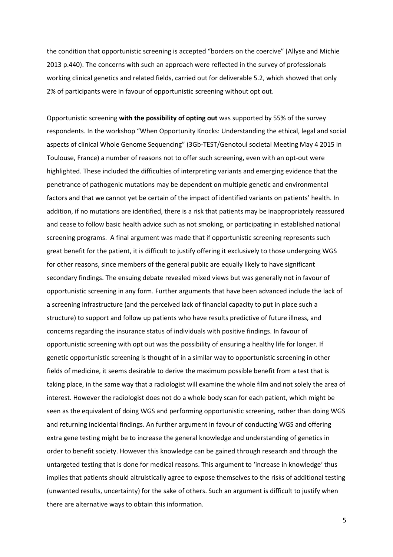the condition that opportunistic screening is accepted "borders on the coercive" (Allyse and Michie 2013 p.440). The concerns with such an approach were reflected in the survey of professionals working clinical genetics and related fields, carried out for deliverable 5.2, which showed that only 2% of participants were in favour of opportunistic screening without opt out.

Opportunistic screening **with the possibility of opting out** was supported by 55% of the survey respondents. In the workshop "When Opportunity Knocks: Understanding the ethical, legal and social aspects of clinical Whole Genome Sequencing" (3Gb-TEST/Genotoul societal Meeting May 4 2015 in Toulouse, France) a number of reasons not to offer such screening, even with an opt-out were highlighted. These included the difficulties of interpreting variants and emerging evidence that the penetrance of pathogenic mutations may be dependent on multiple genetic and environmental factors and that we cannot yet be certain of the impact of identified variants on patients' health. In addition, if no mutations are identified, there is a risk that patients may be inappropriately reassured and cease to follow basic health advice such as not smoking, or participating in established national screening programs. A final argument was made that if opportunistic screening represents such great benefit for the patient, it is difficult to justify offering it exclusively to those undergoing WGS for other reasons, since members of the general public are equally likely to have significant secondary findings. The ensuing debate revealed mixed views but was generally not in favour of opportunistic screening in any form. Further arguments that have been advanced include the lack of a screening infrastructure (and the perceived lack of financial capacity to put in place such a structure) to support and follow up patients who have results predictive of future illness, and concerns regarding the insurance status of individuals with positive findings. In favour of opportunistic screening with opt out was the possibility of ensuring a healthy life for longer. If genetic opportunistic screening is thought of in a similar way to opportunistic screening in other fields of medicine, it seems desirable to derive the maximum possible benefit from a test that is taking place, in the same way that a radiologist will examine the whole film and not solely the area of interest. However the radiologist does not do a whole body scan for each patient, which might be seen as the equivalent of doing WGS and performing opportunistic screening, rather than doing WGS and returning incidental findings. An further argument in favour of conducting WGS and offering extra gene testing might be to increase the general knowledge and understanding of genetics in order to benefit society. However this knowledge can be gained through research and through the untargeted testing that is done for medical reasons. This argument to 'increase in knowledge' thus implies that patients should altruistically agree to expose themselves to the risks of additional testing (unwanted results, uncertainty) for the sake of others. Such an argument is difficult to justify when there are alternative ways to obtain this information.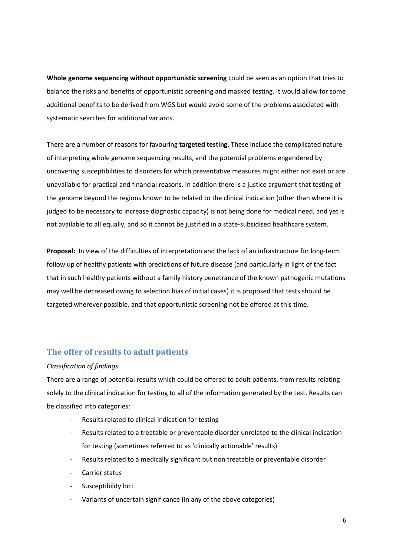**Whole genome sequencing without opportunistic screening** could be seen as an option that tries to balance the risks and benefits of opportunistic screening and masked testing. It would allow for some additional benefits to be derived from WGS but would avoid some of the problems associated with systematic searches for additional variants.

There are a number of reasons for favouring **targeted testing**. These include the complicated nature of interpreting whole genome sequencing results, and the potential problems engendered by uncovering susceptibilities to disorders for which preventative measures might either not exist or are unavailable for practical and financial reasons. In addition there is a justice argument that testing of the genome beyond the regions known to be related to the clinical indication (other than where it is judged to be necessary to increase diagnostic capacity) is not being done for medical need, and yet is not available to all equally, and so it cannot be justified in a state-subsidised healthcare system.

**Proposal:** In view of the difficulties of interpretation and the lack of an infrastructure for long-term follow up of healthy patients with predictions of future disease (and particularly in light of the fact that in such healthy patients without a family history penetrance of the known pathogenic mutations may well be decreased owing to selection bias of initial cases) it is proposed that tests should be targeted wherever possible, and that opportunistic screening not be offered at this time.

## **The offer of results to adult patients**

#### *Classification of findings*

There are a range of potential results which could be offered to adult patients, from results relating solely to the clinical indication for testing to all of the information generated by the test. Results can be classified into categories:

- Results related to clinical indication for testing
- Results related to a treatable or preventable disorder unrelated to the clinical indication for testing (sometimes referred to as 'clinically actionable' results)
- Results related to a medically significant but non treatable or preventable disorder
- Carrier status
- Susceptibility loci
- Variants of uncertain significance (in any of the above categories)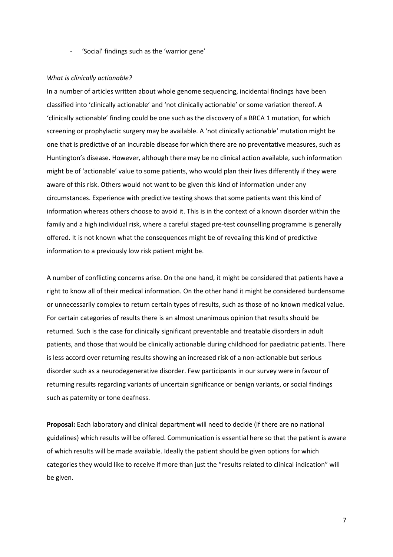'Social' findings such as the 'warrior gene'

#### *What is clinically actionable?*

In a number of articles written about whole genome sequencing, incidental findings have been classified into 'clinically actionable' and 'not clinically actionable' or some variation thereof. A 'clinically actionable' finding could be one such as the discovery of a BRCA 1 mutation, for which screening or prophylactic surgery may be available. A 'not clinically actionable' mutation might be one that is predictive of an incurable disease for which there are no preventative measures, such as Huntington's disease. However, although there may be no clinical action available, such information might be of 'actionable' value to some patients, who would plan their lives differently if they were aware of this risk. Others would not want to be given this kind of information under any circumstances. Experience with predictive testing shows that some patients want this kind of information whereas others choose to avoid it. This is in the context of a known disorder within the family and a high individual risk, where a careful staged pre-test counselling programme is generally offered. It is not known what the consequences might be of revealing this kind of predictive information to a previously low risk patient might be.

A number of conflicting concerns arise. On the one hand, it might be considered that patients have a right to know all of their medical information. On the other hand it might be considered burdensome or unnecessarily complex to return certain types of results, such as those of no known medical value. For certain categories of results there is an almost unanimous opinion that results should be returned. Such is the case for clinically significant preventable and treatable disorders in adult patients, and those that would be clinically actionable during childhood for paediatric patients. There is less accord over returning results showing an increased risk of a non-actionable but serious disorder such as a neurodegenerative disorder. Few participants in our survey were in favour of returning results regarding variants of uncertain significance or benign variants, or social findings such as paternity or tone deafness.

**Proposal:** Each laboratory and clinical department will need to decide (if there are no national guidelines) which results will be offered. Communication is essential here so that the patient is aware of which results will be made available. Ideally the patient should be given options for which categories they would like to receive if more than just the "results related to clinical indication" will be given.

7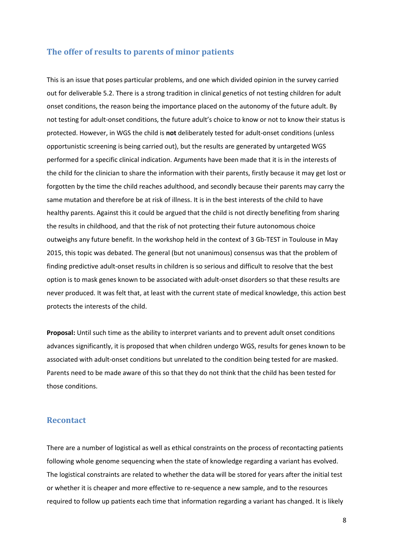#### **The offer of results to parents of minor patients**

This is an issue that poses particular problems, and one which divided opinion in the survey carried out for deliverable 5.2. There is a strong tradition in clinical genetics of not testing children for adult onset conditions, the reason being the importance placed on the autonomy of the future adult. By not testing for adult-onset conditions, the future adult's choice to know or not to know their status is protected. However, in WGS the child is **not** deliberately tested for adult-onset conditions (unless opportunistic screening is being carried out), but the results are generated by untargeted WGS performed for a specific clinical indication. Arguments have been made that it is in the interests of the child for the clinician to share the information with their parents, firstly because it may get lost or forgotten by the time the child reaches adulthood, and secondly because their parents may carry the same mutation and therefore be at risk of illness. It is in the best interests of the child to have healthy parents. Against this it could be argued that the child is not directly benefiting from sharing the results in childhood, and that the risk of not protecting their future autonomous choice outweighs any future benefit. In the workshop held in the context of 3 Gb-TEST in Toulouse in May 2015, this topic was debated. The general (but not unanimous) consensus was that the problem of finding predictive adult-onset results in children is so serious and difficult to resolve that the best option is to mask genes known to be associated with adult-onset disorders so that these results are never produced. It was felt that, at least with the current state of medical knowledge, this action best protects the interests of the child.

**Proposal:** Until such time as the ability to interpret variants and to prevent adult onset conditions advances significantly, it is proposed that when children undergo WGS, results for genes known to be associated with adult-onset conditions but unrelated to the condition being tested for are masked. Parents need to be made aware of this so that they do not think that the child has been tested for those conditions.

#### **Recontact**

There are a number of logistical as well as ethical constraints on the process of recontacting patients following whole genome sequencing when the state of knowledge regarding a variant has evolved. The logistical constraints are related to whether the data will be stored for years after the initial test or whether it is cheaper and more effective to re-sequence a new sample, and to the resources required to follow up patients each time that information regarding a variant has changed. It is likely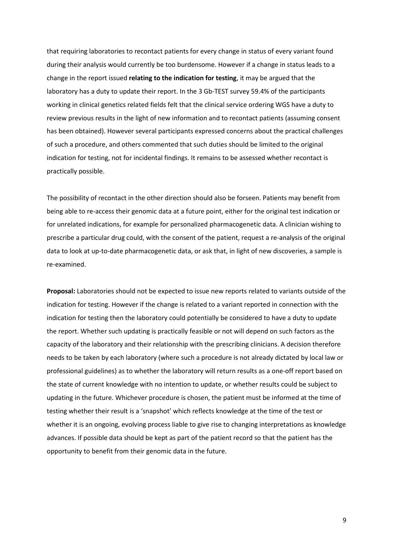that requiring laboratories to recontact patients for every change in status of every variant found during their analysis would currently be too burdensome. However if a change in status leads to a change in the report issued **relating to the indication for testing**, it may be argued that the laboratory has a duty to update their report. In the 3 Gb-TEST survey 59.4% of the participants working in clinical genetics related fields felt that the clinical service ordering WGS have a duty to review previous results in the light of new information and to recontact patients (assuming consent has been obtained). However several participants expressed concerns about the practical challenges of such a procedure, and others commented that such duties should be limited to the original indication for testing, not for incidental findings. It remains to be assessed whether recontact is practically possible.

The possibility of recontact in the other direction should also be forseen. Patients may benefit from being able to re-access their genomic data at a future point, either for the original test indication or for unrelated indications, for example for personalized pharmacogenetic data. A clinician wishing to prescribe a particular drug could, with the consent of the patient, request a re-analysis of the original data to look at up-to-date pharmacogenetic data, or ask that, in light of new discoveries, a sample is re-examined.

**Proposal:** Laboratories should not be expected to issue new reports related to variants outside of the indication for testing. However if the change is related to a variant reported in connection with the indication for testing then the laboratory could potentially be considered to have a duty to update the report. Whether such updating is practically feasible or not will depend on such factors as the capacity of the laboratory and their relationship with the prescribing clinicians. A decision therefore needs to be taken by each laboratory (where such a procedure is not already dictated by local law or professional guidelines) as to whether the laboratory will return results as a one-off report based on the state of current knowledge with no intention to update, or whether results could be subject to updating in the future. Whichever procedure is chosen, the patient must be informed at the time of testing whether their result is a 'snapshot' which reflects knowledge at the time of the test or whether it is an ongoing, evolving process liable to give rise to changing interpretations as knowledge advances. If possible data should be kept as part of the patient record so that the patient has the opportunity to benefit from their genomic data in the future.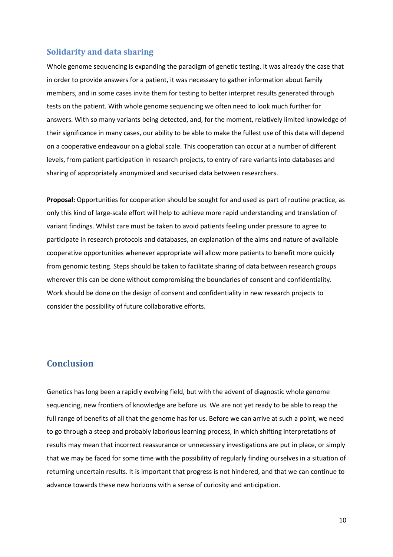## **Solidarity and data sharing**

Whole genome sequencing is expanding the paradigm of genetic testing. It was already the case that in order to provide answers for a patient, it was necessary to gather information about family members, and in some cases invite them for testing to better interpret results generated through tests on the patient. With whole genome sequencing we often need to look much further for answers. With so many variants being detected, and, for the moment, relatively limited knowledge of their significance in many cases, our ability to be able to make the fullest use of this data will depend on a cooperative endeavour on a global scale. This cooperation can occur at a number of different levels, from patient participation in research projects, to entry of rare variants into databases and sharing of appropriately anonymized and securised data between researchers.

**Proposal:** Opportunities for cooperation should be sought for and used as part of routine practice, as only this kind of large-scale effort will help to achieve more rapid understanding and translation of variant findings. Whilst care must be taken to avoid patients feeling under pressure to agree to participate in research protocols and databases, an explanation of the aims and nature of available cooperative opportunities whenever appropriate will allow more patients to benefit more quickly from genomic testing. Steps should be taken to facilitate sharing of data between research groups wherever this can be done without compromising the boundaries of consent and confidentiality. Work should be done on the design of consent and confidentiality in new research projects to consider the possibility of future collaborative efforts.

## **Conclusion**

Genetics has long been a rapidly evolving field, but with the advent of diagnostic whole genome sequencing, new frontiers of knowledge are before us. We are not yet ready to be able to reap the full range of benefits of all that the genome has for us. Before we can arrive at such a point, we need to go through a steep and probably laborious learning process, in which shifting interpretations of results may mean that incorrect reassurance or unnecessary investigations are put in place, or simply that we may be faced for some time with the possibility of regularly finding ourselves in a situation of returning uncertain results. It is important that progress is not hindered, and that we can continue to advance towards these new horizons with a sense of curiosity and anticipation.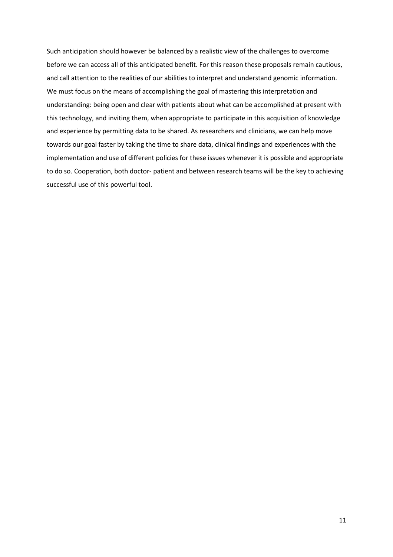Such anticipation should however be balanced by a realistic view of the challenges to overcome before we can access all of this anticipated benefit. For this reason these proposals remain cautious, and call attention to the realities of our abilities to interpret and understand genomic information. We must focus on the means of accomplishing the goal of mastering this interpretation and understanding: being open and clear with patients about what can be accomplished at present with this technology, and inviting them, when appropriate to participate in this acquisition of knowledge and experience by permitting data to be shared. As researchers and clinicians, we can help move towards our goal faster by taking the time to share data, clinical findings and experiences with the implementation and use of different policies for these issues whenever it is possible and appropriate to do so. Cooperation, both doctor- patient and between research teams will be the key to achieving successful use of this powerful tool.